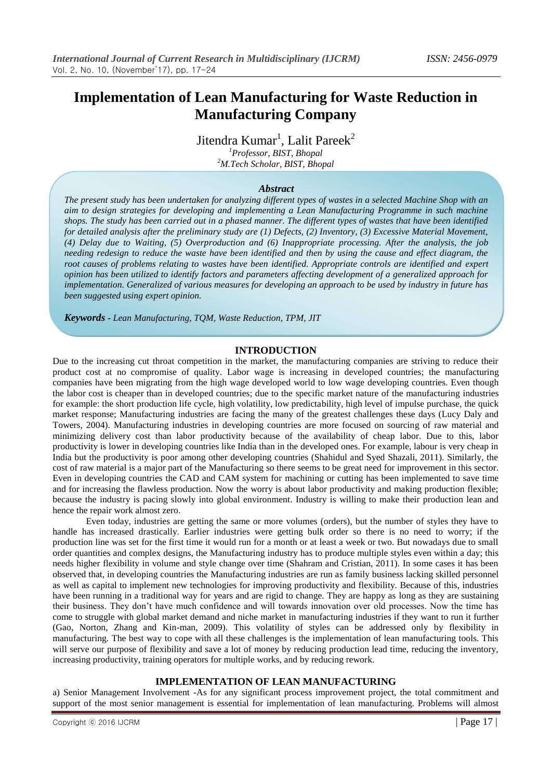# **Implementation of Lean Manufacturing for Waste Reduction in Manufacturing Company**

Jitendra Kumar<sup>1</sup>, Lalit Pareek<sup>2</sup>

*<sup>1</sup>Professor, BIST, Bhopal <sup>2</sup>M.Tech Scholar, BIST, Bhopal*

## *Abstract*

*The present study has been undertaken for analyzing different types of wastes in a selected Machine Shop with an aim to design strategies for developing and implementing a Lean Manufacturing Programme in such machine shops. The study has been carried out in a phased manner. The different types of wastes that have been identified for detailed analysis after the preliminary study are (1) Defects, (2) Inventory, (3) Excessive Material Movement, (4) Delay due to Waiting, (5) Overproduction and (6) Inappropriate processing. After the analysis, the job needing redesign to reduce the waste have been identified and then by using the cause and effect diagram, the root causes of problems relating to wastes have been identified. Appropriate controls are identified and expert opinion has been utilized to identify factors and parameters affecting development of a generalized approach for implementation. Generalized of various measures for developing an approach to be used by industry in future has been suggested using expert opinion.* 

*Keywords - Lean Manufacturing, TQM, Waste Reduction, TPM, JIT*

# **INTRODUCTION**

Due to the increasing cut throat competition in the market, the manufacturing companies are striving to reduce their product cost at no compromise of quality. Labor wage is increasing in developed countries; the manufacturing companies have been migrating from the high wage developed world to low wage developing countries. Even though the labor cost is cheaper than in developed countries; due to the specific market nature of the manufacturing industries for example: the short production life cycle, high volatility, low predictability, high level of impulse purchase, the quick market response; Manufacturing industries are facing the many of the greatest challenges these days (Lucy Daly and Towers, 2004). Manufacturing industries in developing countries are more focused on sourcing of raw material and minimizing delivery cost than labor productivity because of the availability of cheap labor. Due to this, labor productivity is lower in developing countries like India than in the developed ones. For example, labour is very cheap in India but the productivity is poor among other developing countries (Shahidul and Syed Shazali, 2011). Similarly, the cost of raw material is a major part of the Manufacturing so there seems to be great need for improvement in this sector. Even in developing countries the CAD and CAM system for machining or cutting has been implemented to save time and for increasing the flawless production. Now the worry is about labor productivity and making production flexible; because the industry is pacing slowly into global environment. Industry is willing to make their production lean and hence the repair work almost zero.

Even today, industries are getting the same or more volumes (orders), but the number of styles they have to handle has increased drastically. Earlier industries were getting bulk order so there is no need to worry; if the production line was set for the first time it would run for a month or at least a week or two. But nowadays due to small order quantities and complex designs, the Manufacturing industry has to produce multiple styles even within a day; this needs higher flexibility in volume and style change over time (Shahram and Cristian, 2011). In some cases it has been observed that, in developing countries the Manufacturing industries are run as family business lacking skilled personnel as well as capital to implement new technologies for improving productivity and flexibility. Because of this, industries have been running in a traditional way for years and are rigid to change. They are happy as long as they are sustaining their business. They don't have much confidence and will towards innovation over old processes. Now the time has come to struggle with global market demand and niche market in manufacturing industries if they want to run it further (Gao, Norton, Zhang and Kin-man, 2009). This volatility of styles can be addressed only by flexibility in manufacturing. The best way to cope with all these challenges is the implementation of lean manufacturing tools. This will serve our purpose of flexibility and save a lot of money by reducing production lead time, reducing the inventory, increasing productivity, training operators for multiple works, and by reducing rework.

## **IMPLEMENTATION OF LEAN MANUFACTURING**

a) Senior Management Involvement -As for any significant process improvement project, the total commitment and support of the most senior management is essential for implementation of lean manufacturing. Problems will almost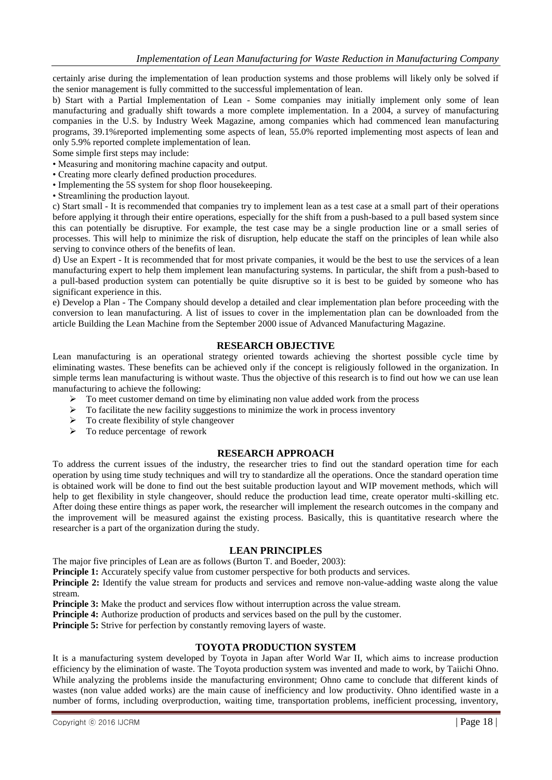certainly arise during the implementation of lean production systems and those problems will likely only be solved if the senior management is fully committed to the successful implementation of lean.

b) Start with a Partial Implementation of Lean - Some companies may initially implement only some of lean manufacturing and gradually shift towards a more complete implementation. In a 2004, a survey of manufacturing companies in the U.S. by Industry Week Magazine, among companies which had commenced lean manufacturing programs, 39.1%reported implementing some aspects of lean, 55.0% reported implementing most aspects of lean and only 5.9% reported complete implementation of lean.

Some simple first steps may include:

- Measuring and monitoring machine capacity and output.
- Creating more clearly defined production procedures.
- Implementing the 5S system for shop floor housekeeping.
- Streamlining the production layout.

c) Start small - It is recommended that companies try to implement lean as a test case at a small part of their operations before applying it through their entire operations, especially for the shift from a push-based to a pull based system since this can potentially be disruptive. For example, the test case may be a single production line or a small series of processes. This will help to minimize the risk of disruption, help educate the staff on the principles of lean while also serving to convince others of the benefits of lean.

d) Use an Expert - It is recommended that for most private companies, it would be the best to use the services of a lean manufacturing expert to help them implement lean manufacturing systems. In particular, the shift from a push-based to a pull-based production system can potentially be quite disruptive so it is best to be guided by someone who has significant experience in this.

e) Develop a Plan - The Company should develop a detailed and clear implementation plan before proceeding with the conversion to lean manufacturing. A list of issues to cover in the implementation plan can be downloaded from the article Building the Lean Machine from the September 2000 issue of Advanced Manufacturing Magazine.

## **RESEARCH OBJECTIVE**

Lean manufacturing is an operational strategy oriented towards achieving the shortest possible cycle time by eliminating wastes. These benefits can be achieved only if the concept is religiously followed in the organization. In simple terms lean manufacturing is without waste. Thus the objective of this research is to find out how we can use lean manufacturing to achieve the following:

- $\triangleright$  To meet customer demand on time by eliminating non value added work from the process
- $\triangleright$  To facilitate the new facility suggestions to minimize the work in process inventory
- $\triangleright$  To create flexibility of style changeover<br>  $\triangleright$  To reduce percentage of rework
- To reduce percentage of rework

# **RESEARCH APPROACH**

To address the current issues of the industry, the researcher tries to find out the standard operation time for each operation by using time study techniques and will try to standardize all the operations. Once the standard operation time is obtained work will be done to find out the best suitable production layout and WIP movement methods, which will help to get flexibility in style changeover, should reduce the production lead time, create operator multi-skilling etc. After doing these entire things as paper work, the researcher will implement the research outcomes in the company and the improvement will be measured against the existing process. Basically, this is quantitative research where the researcher is a part of the organization during the study.

## **LEAN PRINCIPLES**

The major five principles of Lean are as follows (Burton T. and Boeder, 2003):

**Principle 1:** Accurately specify value from customer perspective for both products and services.

**Principle 2:** Identify the value stream for products and services and remove non-value-adding waste along the value stream.

**Principle 3:** Make the product and services flow without interruption across the value stream.

**Principle 4:** Authorize production of products and services based on the pull by the customer.

**Principle 5:** Strive for perfection by constantly removing layers of waste.

## **TOYOTA PRODUCTION SYSTEM**

It is a manufacturing system developed by Toyota in Japan after World War II, which aims to increase production efficiency by the elimination of waste. The Toyota production system was invented and made to work, by Taiichi Ohno. While analyzing the problems inside the manufacturing environment; Ohno came to conclude that different kinds of wastes (non value added works) are the main cause of inefficiency and low productivity. Ohno identified waste in a number of forms, including overproduction, waiting time, transportation problems, inefficient processing, inventory,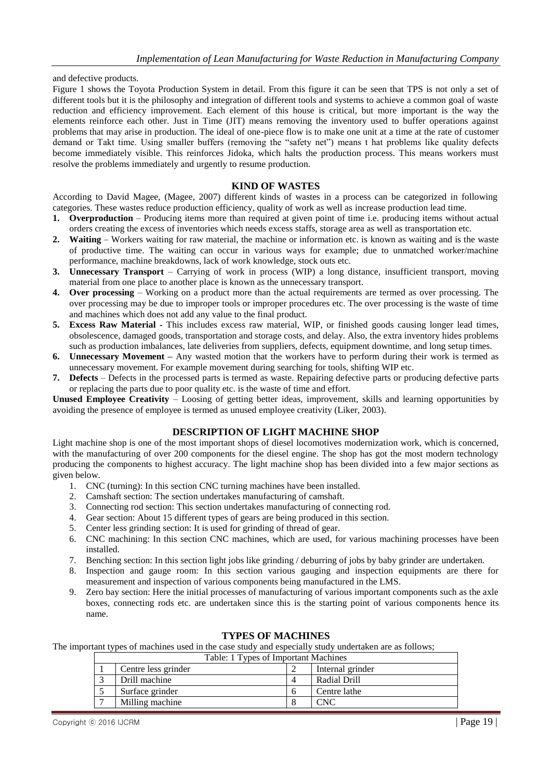and defective products.

Figure 1 shows the Toyota Production System in detail. From this figure it can be seen that TPS is not only a set of different tools but it is the philosophy and integration of different tools and systems to achieve a common goal of waste reduction and efficiency improvement. Each element of this house is critical, but more important is the way the elements reinforce each other. Just in Time (JIT) means removing the inventory used to buffer operations against problems that may arise in production. The ideal of one-piece flow is to make one unit at a time at the rate of customer demand or Takt time. Using smaller buffers (removing the "safety net") means t hat problems like quality defects become immediately visible. This reinforces Jidoka, which halts the production process. This means workers must resolve the problems immediately and urgently to resume production.

## **KIND OF WASTES**

According to David Magee, (Magee, 2007) different kinds of wastes in a process can be categorized in following categories. These wastes reduce production efficiency, quality of work as well as increase production lead time.

- **1. Overproduction** Producing items more than required at given point of time i.e. producing items without actual orders creating the excess of inventories which needs excess staffs, storage area as well as transportation etc.
- **2. Waiting**  Workers waiting for raw material, the machine or information etc. is known as waiting and is the waste of productive time. The waiting can occur in various ways for example; due to unmatched worker/machine performance, machine breakdowns, lack of work knowledge, stock outs etc.
- **3. Unnecessary Transport**  Carrying of work in process (WIP) a long distance, insufficient transport, moving material from one place to another place is known as the unnecessary transport.
- **4. Over processing**  Working on a product more than the actual requirements are termed as over processing. The over processing may be due to improper tools or improper procedures etc. The over processing is the waste of time and machines which does not add any value to the final product.
- **5. Excess Raw Material -** This includes excess raw material, WIP, or finished goods causing longer lead times, obsolescence, damaged goods, transportation and storage costs, and delay. Also, the extra inventory hides problems such as production imbalances, late deliveries from suppliers, defects, equipment downtime, and long setup times.
- **6. Unnecessary Movement –** Any wasted motion that the workers have to perform during their work is termed as unnecessary movement. For example movement during searching for tools, shifting WIP etc.
- **7. Defects**  Defects in the processed parts is termed as waste. Repairing defective parts or producing defective parts or replacing the parts due to poor quality etc. is the waste of time and effort.

**Unused Employee Creativity** – Loosing of getting better ideas, improvement, skills and learning opportunities by avoiding the presence of employee is termed as unused employee creativity (Liker, 2003).

# **DESCRIPTION OF LIGHT MACHINE SHOP**

Light machine shop is one of the most important shops of diesel locomotives modernization work, which is concerned, with the manufacturing of over 200 components for the diesel engine. The shop has got the most modern technology producing the components to highest accuracy. The light machine shop has been divided into a few major sections as given below.

- 1. CNC (turning): In this section CNC turning machines have been installed.
- 2. Camshaft section: The section undertakes manufacturing of camshaft.
- 3. Connecting rod section: This section undertakes manufacturing of connecting rod.
- 4. Gear section: About 15 different types of gears are being produced in this section.
- 5. Center less grinding section: It is used for grinding of thread of gear.
- 6. CNC machining: In this section CNC machines, which are used, for various machining processes have been installed.
- 7. Benching section: In this section light jobs like grinding / deburring of jobs by baby grinder are undertaken.
- 8. Inspection and gauge room: In this section various gauging and inspection equipments are there for measurement and inspection of various components being manufactured in the LMS.
- 9. Zero bay section: Here the initial processes of manufacturing of various important components such as the axle boxes, connecting rods etc. are undertaken since this is the starting point of various components hence its name.

## **TYPES OF MACHINES**

The important types of machines used in the case study and especially study undertaken are as follows;

| Table: 1 Types of Important Machines |                     |  |                  |  |  |
|--------------------------------------|---------------------|--|------------------|--|--|
|                                      | Centre less grinder |  | Internal grinder |  |  |
|                                      | Drill machine       |  | Radial Drill     |  |  |
|                                      | Surface grinder     |  | Centre lathe     |  |  |
|                                      | Milling machine     |  |                  |  |  |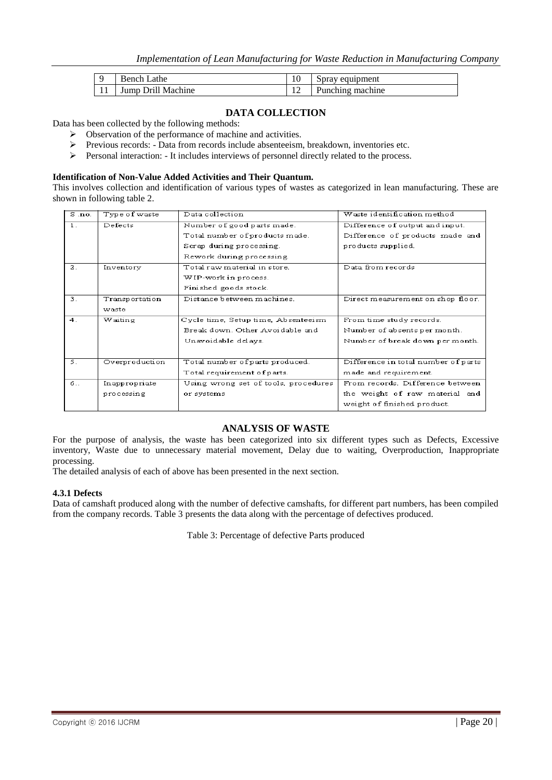|     | .athe<br>sench.      | $\sim$<br>ΙV  | Spray equipment |
|-----|----------------------|---------------|-----------------|
| 1 T | Drill Machine<br>ump | $\sim$<br>. . | unching machine |

# **DATA COLLECTION**

Data has been collected by the following methods:

- $\triangleright$  Observation of the performance of machine and activities.
- Previous records: Data from records include absenteeism, breakdown, inventories etc.
- Personal interaction: It includes interviews of personnel directly related to the process.

## **Identification of Non-Value Added Activities and Their Quantum.**

This involves collection and identification of various types of wastes as categorized in lean manufacturing. These are shown in following table 2.

| $S$ .no.       | Type of waste  | Data collection                      | Waste identification method         |
|----------------|----------------|--------------------------------------|-------------------------------------|
| $1$ .          | Defects        | Number of good parts made.           | Difference of output and input.     |
|                |                | Total number of products made.       | Difference of products made and     |
|                |                | Scrap during processing.             | products supplied.                  |
|                |                | Rework during processing.            |                                     |
| 2.             | Inventory      | Total raw material in store.         | Data from records                   |
|                |                | WIP-work in process.                 |                                     |
|                |                | Finished goods stock.                |                                     |
| 3.             | Transportation | Distance between machines.           | Direct measurement on shop floor.   |
|                | waste          |                                      |                                     |
| 4 <sub>1</sub> | Waiting        | Cycle time, Setup time, Absenteeism  | From time study records.            |
|                |                | Break down. Other Avoidable and      | Number of absents per month.        |
|                |                | Unavoidable delays.                  | Number of break down per month.     |
|                |                |                                      |                                     |
| 5.             | Overproduction | Total number of parts produced.      | Difference in total number of parts |
|                |                | Total requirement of parts.          | made and requirement.               |
| б              | Inappropriate  | Using wrong set of tools, procedures | From records. Difference between    |
|                | processing     | or systems                           | the weight of raw material and      |
|                |                |                                      | weight of finished product.         |

## **ANALYSIS OF WASTE**

For the purpose of analysis, the waste has been categorized into six different types such as Defects, Excessive inventory, Waste due to unnecessary material movement, Delay due to waiting, Overproduction, Inappropriate processing.

The detailed analysis of each of above has been presented in the next section.

#### **4.3.1 Defects**

Data of camshaft produced along with the number of defective camshafts, for different part numbers, has been compiled from the company records. Table 3 presents the data along with the percentage of defectives produced.

Table 3: Percentage of defective Parts produced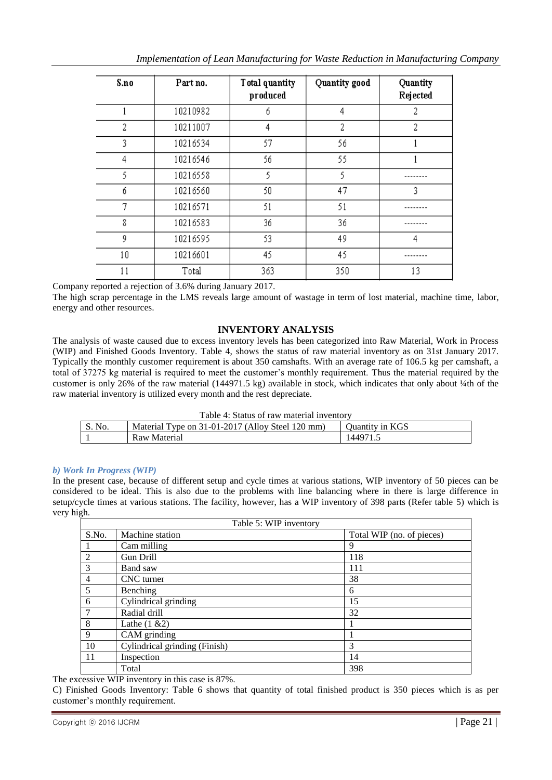| S.no | Part no. | Total quantity<br>produced | Quantity good | Quantity<br>Rejected |
|------|----------|----------------------------|---------------|----------------------|
|      | 10210982 | б                          | 4             | 2                    |
| 2    | 10211007 | 4                          | 2             | 2                    |
| 3    | 10216534 | 57                         | 56            |                      |
| 4    | 10216546 | 56                         | 55            |                      |
| 5    | 10216558 | 5                          | 5             |                      |
| б    | 10216560 | 50                         | 47            | 3                    |
| 7    | 10216571 | 51                         | 51            |                      |
| 8    | 10216583 | 36                         | 36            |                      |
| 9    | 10216595 | 53                         | 49            | 4                    |
| 10   | 10216601 | 45                         | 45            |                      |
| 11   | Total    | 363                        | 350           | 13                   |

Company reported a rejection of 3.6% during January 2017.

The high scrap percentage in the LMS reveals large amount of wastage in term of lost material, machine time, labor, energy and other resources.

# **INVENTORY ANALYSIS**

The analysis of waste caused due to excess inventory levels has been categorized into Raw Material, Work in Process (WIP) and Finished Goods Inventory. Table 4, shows the status of raw material inventory as on 31st January 2017. Typically the monthly customer requirement is about 350 camshafts. With an average rate of 106.5 kg per camshaft, a total of 37275 kg material is required to meet the customer's monthly requirement. Thus the material required by the customer is only 26% of the raw material (144971.5 kg) available in stock, which indicates that only about ¼th of the raw material inventory is utilized every month and the rest depreciate.

| Table 4: Status of raw material inventory |  |  |
|-------------------------------------------|--|--|
|-------------------------------------------|--|--|

| No. | Material Type on 31-01-2017 (Alloy Steel 120 mm) | <b>Ouantity in KGS</b> |
|-----|--------------------------------------------------|------------------------|
|     | Raw Material                                     | 144971.                |

# *b) Work In Progress (WIP)*

In the present case, because of different setup and cycle times at various stations, WIP inventory of 50 pieces can be considered to be ideal. This is also due to the problems with line balancing where in there is large difference in setup/cycle times at various stations. The facility, however, has a WIP inventory of 398 parts (Refer table 5) which is very high.

| Table 5: WIP inventory |                               |                           |  |  |  |
|------------------------|-------------------------------|---------------------------|--|--|--|
| S.No.                  | Machine station               | Total WIP (no. of pieces) |  |  |  |
|                        | Cam milling                   | 9                         |  |  |  |
| 2                      | Gun Drill                     | 118                       |  |  |  |
| 3                      | Band saw                      | 111                       |  |  |  |
| $\overline{4}$         | CNC turner                    | 38                        |  |  |  |
| 5                      | Benching                      | 6                         |  |  |  |
| 6                      | Cylindrical grinding          | 15                        |  |  |  |
| $7\phantom{.0}$        | Radial drill                  | 32                        |  |  |  |
| 8                      | Lathe $(1 \& 2)$              |                           |  |  |  |
| 9                      | CAM grinding                  |                           |  |  |  |
| <b>10</b>              | Cylindrical grinding (Finish) | 3                         |  |  |  |
| $\overline{11}$        | Inspection                    | 14                        |  |  |  |
|                        | Total                         | 398                       |  |  |  |

The excessive WIP inventory in this case is 87%.

C) Finished Goods Inventory: Table 6 shows that quantity of total finished product is 350 pieces which is as per customer's monthly requirement.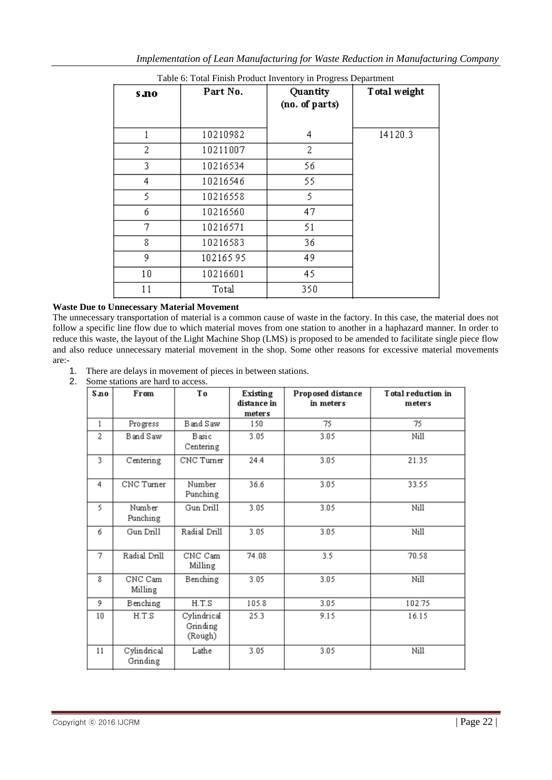| s no | Part No. | Quantity<br>(no. of parts) | Total weight |
|------|----------|----------------------------|--------------|
|      | 10210982 | 4                          | 14120.3      |
| 2    | 10211007 | 2                          |              |
| 3.   | 10216534 | 56                         |              |
| 4    | 10216546 | 55                         |              |
| 5    | 10216558 | 5.                         |              |
| б    | 10216560 | 47                         |              |
| 7    | 10216571 | 51                         |              |
| 8    | 10216583 | 36                         |              |
| 9    | 10216595 | 49                         |              |
| 10   | 10216601 | 45                         |              |
| 11   | Total    | 350                        |              |

Table 6: Total Finish Product Inventory in Progress Department

# **Waste Due to Unnecessary Material Movement**

The unnecessary transportation of material is a common cause of waste in the factory. In this case, the material does not follow a specific line flow due to which material moves from one station to another in a haphazard manner. In order to reduce this waste, the layout of the Light Machine Shop (LMS) is proposed to be amended to facilitate single piece flow and also reduce unnecessary material movement in the shop. Some other reasons for excessive material movements are:-

- 1. There are delays in movement of pieces in between stations.
- 2. Some stations are hard to access.

| S no                    | From                    | Тo                                 | Existing<br>distance in<br>meters | Proposed distance<br>in meters | Total reduction in<br>meters |
|-------------------------|-------------------------|------------------------------------|-----------------------------------|--------------------------------|------------------------------|
| 1                       | Progress                | Band Saw                           | 150                               | 75                             | 75                           |
| 2                       | Band Saw                | Basic<br>Centering                 | 3.05                              | 3.05                           | Nill                         |
| $\overline{\mathbf{3}}$ | Centering               | CNC Turner                         | 24.4                              | 3.05                           | 21.35                        |
| 4                       | CNC Turner              | Number<br>Punching                 | 36.6                              | 3.05                           | 33.55                        |
| 5                       | Number<br>Punching      | Gun Drill                          | 3.05                              | 3.05                           | Nill                         |
| 6                       | Gun Drill               | Radial Drill                       | 3.05                              | 3.05                           | Nill                         |
| 7                       | Radial Drill            | CNC Cam<br>Milling                 | 74.08                             | 3.5                            | 70.58                        |
| 8                       | CNC Cam<br>Milling      | Benching                           | 3.05                              | 3.05                           | Nill                         |
| 9.                      | Benching                | H.T.S                              | 105.8                             | 3.05                           | 102.75                       |
| 10                      | H.T.S                   | Cylindrical<br>Grinding<br>(Rough) | 25.3                              | 9.15                           | 16.15                        |
| 11                      | Cylindrical<br>Grinding | Lathe                              | 3.05                              | 3.05                           | Nill                         |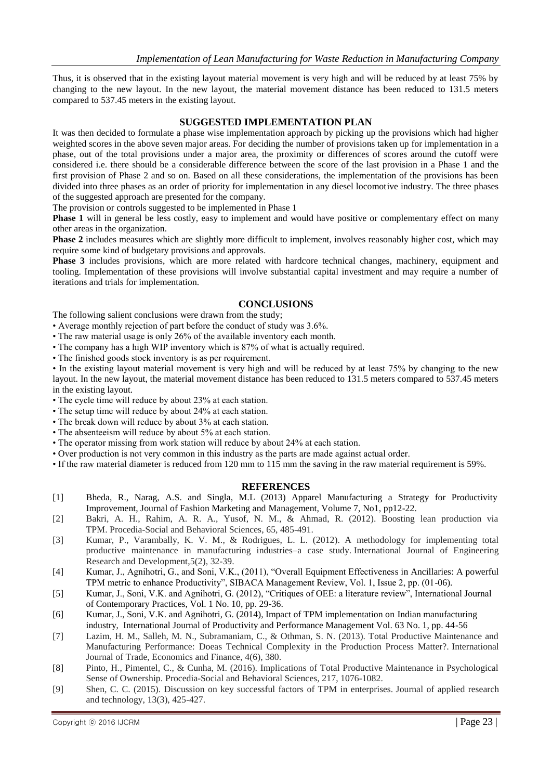Thus, it is observed that in the existing layout material movement is very high and will be reduced by at least 75% by changing to the new layout. In the new layout, the material movement distance has been reduced to 131.5 meters compared to 537.45 meters in the existing layout.

# **SUGGESTED IMPLEMENTATION PLAN**

It was then decided to formulate a phase wise implementation approach by picking up the provisions which had higher weighted scores in the above seven major areas. For deciding the number of provisions taken up for implementation in a phase, out of the total provisions under a major area, the proximity or differences of scores around the cutoff were considered i.e. there should be a considerable difference between the score of the last provision in a Phase 1 and the first provision of Phase 2 and so on. Based on all these considerations, the implementation of the provisions has been divided into three phases as an order of priority for implementation in any diesel locomotive industry. The three phases of the suggested approach are presented for the company.

The provision or controls suggested to be implemented in Phase 1

**Phase 1** will in general be less costly, easy to implement and would have positive or complementary effect on many other areas in the organization.

**Phase 2** includes measures which are slightly more difficult to implement, involves reasonably higher cost, which may require some kind of budgetary provisions and approvals.

**Phase 3** includes provisions, which are more related with hardcore technical changes, machinery, equipment and tooling. Implementation of these provisions will involve substantial capital investment and may require a number of iterations and trials for implementation.

## **CONCLUSIONS**

The following salient conclusions were drawn from the study;

• Average monthly rejection of part before the conduct of study was 3.6%.

- The raw material usage is only 26% of the available inventory each month.
- The company has a high WIP inventory which is 87% of what is actually required.
- The finished goods stock inventory is as per requirement.

• In the existing layout material movement is very high and will be reduced by at least 75% by changing to the new layout. In the new layout, the material movement distance has been reduced to 131.5 meters compared to 537.45 meters in the existing layout.

• The cycle time will reduce by about 23% at each station.

- The setup time will reduce by about 24% at each station.
- The break down will reduce by about 3% at each station.
- The absenteeism will reduce by about 5% at each station.
- The operator missing from work station will reduce by about 24% at each station.
- Over production is not very common in this industry as the parts are made against actual order.
- If the raw material diameter is reduced from 120 mm to 115 mm the saving in the raw material requirement is 59%.

## **REFERENCES**

- [1] Bheda, R., Narag, A.S. and Singla, M.L (2013) Apparel Manufacturing a Strategy for Productivity Improvement, Journal of Fashion Marketing and Management, Volume 7, No1, pp12-22.
- [2] Bakri, A. H., Rahim, A. R. A., Yusof, N. M., & Ahmad, R. (2012). Boosting lean production via TPM. Procedia-Social and Behavioral Sciences, 65, 485-491.
- [3] Kumar, P., Varambally, K. V. M., & Rodrigues, L. L. (2012). A methodology for implementing total productive maintenance in manufacturing industries–a case study. International Journal of Engineering Research and Development,5(2), 32-39.
- [4] Kumar, J., Agnihotri, G., and Soni, V.K., (2011), "Overall Equipment Effectiveness in Ancillaries: A powerful TPM metric to enhance Productivity", SIBACA Management Review, Vol. 1, Issue 2, pp. (01-06).
- [5] Kumar, J., Soni, V.K. and Agnihotri, G. (2012), "Critiques of OEE: a literature review", International Journal of Contemporary Practices, Vol. 1 No. 10, pp. 29-36.
- [6] Kumar, J., Soni, V.K. and Agnihotri, G. (2014), Impact of TPM implementation on Indian manufacturing industry, International Journal of Productivity and Performance Management Vol. 63 No. 1, pp. 44-56
- [7] Lazim, H. M., Salleh, M. N., Subramaniam, C., & Othman, S. N. (2013). Total Productive Maintenance and Manufacturing Performance: Doeas Technical Complexity in the Production Process Matter?. International Journal of Trade, Economics and Finance, 4(6), 380.
- [8] Pinto, H., Pimentel, C., & Cunha, M. (2016). Implications of Total Productive Maintenance in Psychological Sense of Ownership. Procedia-Social and Behavioral Sciences, 217, 1076-1082.
- [9] Shen, C. C. (2015). Discussion on key successful factors of TPM in enterprises. Journal of applied research and technology, 13(3), 425-427.